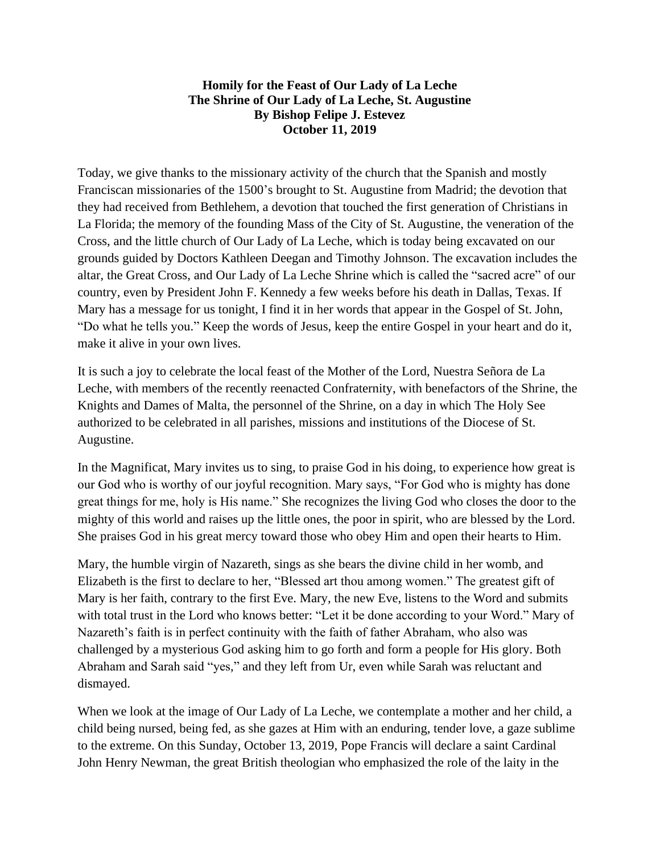## **Homily for the Feast of Our Lady of La Leche The Shrine of Our Lady of La Leche, St. Augustine By Bishop Felipe J. Estevez October 11, 2019**

Today, we give thanks to the missionary activity of the church that the Spanish and mostly Franciscan missionaries of the 1500's brought to St. Augustine from Madrid; the devotion that they had received from Bethlehem, a devotion that touched the first generation of Christians in La Florida; the memory of the founding Mass of the City of St. Augustine, the veneration of the Cross, and the little church of Our Lady of La Leche, which is today being excavated on our grounds guided by Doctors Kathleen Deegan and Timothy Johnson. The excavation includes the altar, the Great Cross, and Our Lady of La Leche Shrine which is called the "sacred acre" of our country, even by President John F. Kennedy a few weeks before his death in Dallas, Texas. If Mary has a message for us tonight, I find it in her words that appear in the Gospel of St. John, "Do what he tells you." Keep the words of Jesus, keep the entire Gospel in your heart and do it, make it alive in your own lives.

It is such a joy to celebrate the local feast of the Mother of the Lord, Nuestra Señora de La Leche, with members of the recently reenacted Confraternity, with benefactors of the Shrine, the Knights and Dames of Malta, the personnel of the Shrine, on a day in which The Holy See authorized to be celebrated in all parishes, missions and institutions of the Diocese of St. Augustine.

In the Magnificat, Mary invites us to sing, to praise God in his doing, to experience how great is our God who is worthy of our joyful recognition. Mary says, "For God who is mighty has done great things for me, holy is His name." She recognizes the living God who closes the door to the mighty of this world and raises up the little ones, the poor in spirit, who are blessed by the Lord. She praises God in his great mercy toward those who obey Him and open their hearts to Him.

Mary, the humble virgin of Nazareth, sings as she bears the divine child in her womb, and Elizabeth is the first to declare to her, "Blessed art thou among women." The greatest gift of Mary is her faith, contrary to the first Eve. Mary, the new Eve, listens to the Word and submits with total trust in the Lord who knows better: "Let it be done according to your Word." Mary of Nazareth's faith is in perfect continuity with the faith of father Abraham, who also was challenged by a mysterious God asking him to go forth and form a people for His glory. Both Abraham and Sarah said "yes," and they left from Ur, even while Sarah was reluctant and dismayed.

When we look at the image of Our Lady of La Leche, we contemplate a mother and her child, a child being nursed, being fed, as she gazes at Him with an enduring, tender love, a gaze sublime to the extreme. On this Sunday, October 13, 2019, Pope Francis will declare a saint Cardinal John Henry Newman, the great British theologian who emphasized the role of the laity in the